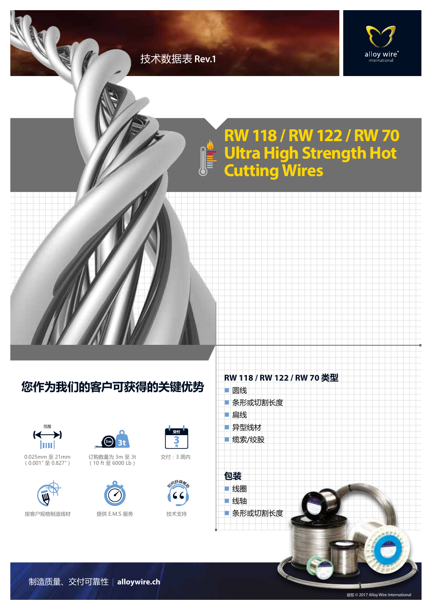## 技术数据表 **Rev.1**



## **RW 118 / RW 122 / RW 70 Ultra High Strength Hot Cutting Wires**

## **您作为我们的客户可获得的关键优势**



0.025mm 至 21mm  $(0.001" \mathcal{\tilde{\equiv}} 0.827")$ 





订购数量为 3m 至 3t  $(10 \text{ ft} \,\,\overline{\!\!\text{2}} \, 6000 \text{ lb})$ 



按客户规格制造线材 提供 E.M.S 服务



交付:3 周内



n 异型线材 ■ 缆索/绞股 **包装** ■线圈 n 线轴 ■ 条形或切割长度

■圆线

■扁线

■ 条形或切割长度

**RW 118 / RW 122 / RW 70 类型**



制造质量、交付可靠性 | **alloywire.ch**

版权 © 2017 Alloy Wire International